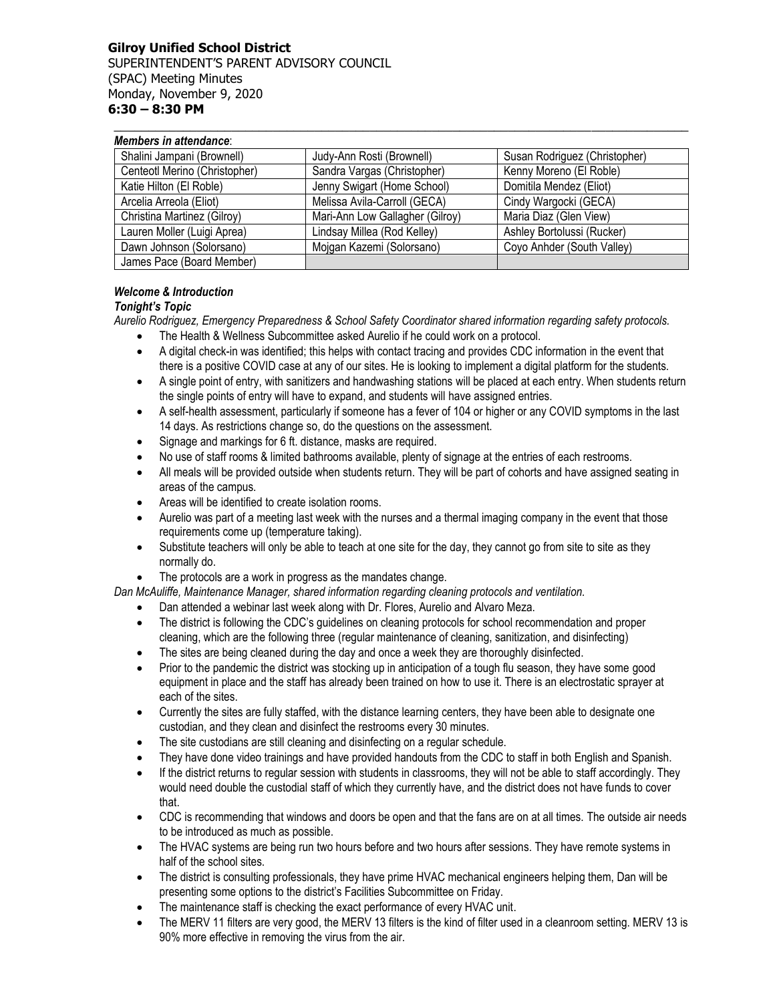### **Gilroy Unified School District** SUPERINTENDENT'S PARENT ADVISORY COUNCIL (SPAC) Meeting Minutes Monday, November 9, 2020 **6:30 – 8:30 PM**

| Members in attendance:        |                                 |                               |
|-------------------------------|---------------------------------|-------------------------------|
| Shalini Jampani (Brownell)    | Judy-Ann Rosti (Brownell)       | Susan Rodriguez (Christopher) |
| Centeotl Merino (Christopher) | Sandra Vargas (Christopher)     | Kenny Moreno (El Roble)       |
| Katie Hilton (El Roble)       | Jenny Swigart (Home School)     | Domitila Mendez (Eliot)       |
| Arcelia Arreola (Eliot)       | Melissa Avila-Carroll (GECA)    | Cindy Wargocki (GECA)         |
| Christina Martinez (Gilroy)   | Mari-Ann Low Gallagher (Gilroy) | Maria Diaz (Glen View)        |
| Lauren Moller (Luigi Aprea)   | Lindsay Millea (Rod Kelley)     | Ashley Bortolussi (Rucker)    |
| Dawn Johnson (Solorsano)      | Mojgan Kazemi (Solorsano)       | Coyo Anhder (South Valley)    |
| James Pace (Board Member)     |                                 |                               |

**\_\_\_\_\_\_\_\_\_\_\_\_\_\_\_\_\_\_\_\_\_\_\_\_\_\_\_\_\_\_\_\_\_\_\_\_\_\_\_\_\_\_\_\_\_\_\_\_\_\_\_\_\_\_\_\_\_\_\_\_\_\_\_\_\_\_\_\_\_\_\_\_\_\_\_\_\_\_\_\_\_\_\_**

# *Welcome & Introduction*

# *Tonight's Topic*

*Aurelio Rodriguez, Emergency Preparedness & School Safety Coordinator shared information regarding safety protocols.*

- The Health & Wellness Subcommittee asked Aurelio if he could work on a protocol.
- A digital check-in was identified; this helps with contact tracing and provides CDC information in the event that there is a positive COVID case at any of our sites. He is looking to implement a digital platform for the students.
- A single point of entry, with sanitizers and handwashing stations will be placed at each entry. When students return the single points of entry will have to expand, and students will have assigned entries.
- A self-health assessment, particularly if someone has a fever of 104 or higher or any COVID symptoms in the last 14 days. As restrictions change so, do the questions on the assessment.
- Signage and markings for 6 ft. distance, masks are required.
- No use of staff rooms & limited bathrooms available, plenty of signage at the entries of each restrooms.
- All meals will be provided outside when students return. They will be part of cohorts and have assigned seating in areas of the campus.
- Areas will be identified to create isolation rooms.
- Aurelio was part of a meeting last week with the nurses and a thermal imaging company in the event that those requirements come up (temperature taking).
- Substitute teachers will only be able to teach at one site for the day, they cannot go from site to site as they normally do.
- The protocols are a work in progress as the mandates change.

*Dan McAuliffe, Maintenance Manager, shared information regarding cleaning protocols and ventilation.* 

- Dan attended a webinar last week along with Dr. Flores, Aurelio and Alvaro Meza.
- The district is following the CDC's guidelines on cleaning protocols for school recommendation and proper cleaning, which are the following three (regular maintenance of cleaning, sanitization, and disinfecting)
- The sites are being cleaned during the day and once a week they are thoroughly disinfected.
- Prior to the pandemic the district was stocking up in anticipation of a tough flu season, they have some good equipment in place and the staff has already been trained on how to use it. There is an electrostatic sprayer at each of the sites.
- Currently the sites are fully staffed, with the distance learning centers, they have been able to designate one custodian, and they clean and disinfect the restrooms every 30 minutes.
- The site custodians are still cleaning and disinfecting on a regular schedule.
- They have done video trainings and have provided handouts from the CDC to staff in both English and Spanish.
- If the district returns to regular session with students in classrooms, they will not be able to staff accordingly. They would need double the custodial staff of which they currently have, and the district does not have funds to cover that.
- CDC is recommending that windows and doors be open and that the fans are on at all times. The outside air needs to be introduced as much as possible.
- The HVAC systems are being run two hours before and two hours after sessions. They have remote systems in half of the school sites.
- The district is consulting professionals, they have prime HVAC mechanical engineers helping them, Dan will be presenting some options to the district's Facilities Subcommittee on Friday.
- The maintenance staff is checking the exact performance of every HVAC unit.
- The MERV 11 filters are very good, the MERV 13 filters is the kind of filter used in a cleanroom setting. MERV 13 is 90% more effective in removing the virus from the air.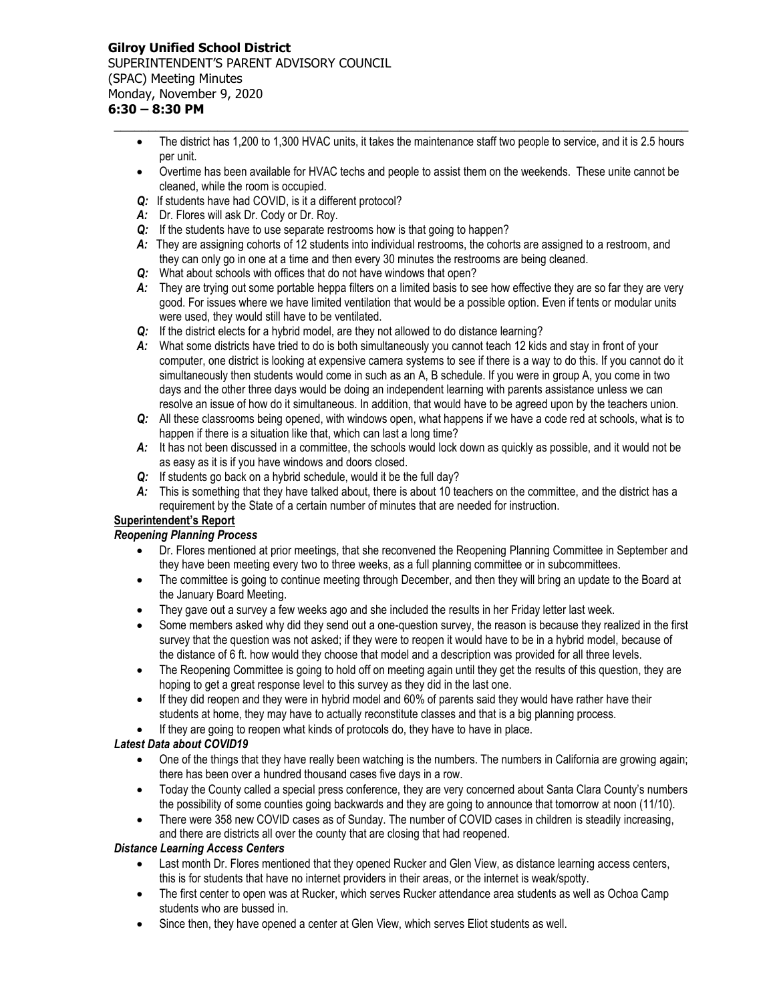### **Gilroy Unified School District** SUPERINTENDENT'S PARENT ADVISORY COUNCIL (SPAC) Meeting Minutes Monday, November 9, 2020 **6:30 – 8:30 PM**

• The district has 1,200 to 1,300 HVAC units, it takes the maintenance staff two people to service, and it is 2.5 hours per unit.

**\_\_\_\_\_\_\_\_\_\_\_\_\_\_\_\_\_\_\_\_\_\_\_\_\_\_\_\_\_\_\_\_\_\_\_\_\_\_\_\_\_\_\_\_\_\_\_\_\_\_\_\_\_\_\_\_\_\_\_\_\_\_\_\_\_\_\_\_\_\_\_\_\_\_\_\_\_\_\_\_\_\_\_**

- Overtime has been available for HVAC techs and people to assist them on the weekends. These unite cannot be cleaned, while the room is occupied.
- *Q:* If students have had COVID, is it a different protocol?
- *A:* Dr. Flores will ask Dr. Cody or Dr. Roy.
- *Q:* If the students have to use separate restrooms how is that going to happen?
- *A:* They are assigning cohorts of 12 students into individual restrooms, the cohorts are assigned to a restroom, and they can only go in one at a time and then every 30 minutes the restrooms are being cleaned.
- *Q:* What about schools with offices that do not have windows that open?
- *A:* They are trying out some portable heppa filters on a limited basis to see how effective they are so far they are very good. For issues where we have limited ventilation that would be a possible option. Even if tents or modular units were used, they would still have to be ventilated.
- *Q:* If the district elects for a hybrid model, are they not allowed to do distance learning?
- *A:* What some districts have tried to do is both simultaneously you cannot teach 12 kids and stay in front of your computer, one district is looking at expensive camera systems to see if there is a way to do this. If you cannot do it simultaneously then students would come in such as an A, B schedule. If you were in group A, you come in two days and the other three days would be doing an independent learning with parents assistance unless we can resolve an issue of how do it simultaneous. In addition, that would have to be agreed upon by the teachers union.
- *Q:* All these classrooms being opened, with windows open, what happens if we have a code red at schools, what is to happen if there is a situation like that, which can last a long time?
- *A:* It has not been discussed in a committee, the schools would lock down as quickly as possible, and it would not be as easy as it is if you have windows and doors closed.
- *Q:* If students go back on a hybrid schedule, would it be the full day?
- *A:* This is something that they have talked about, there is about 10 teachers on the committee, and the district has a requirement by the State of a certain number of minutes that are needed for instruction.

# **Superintendent's Report**

# *Reopening Planning Process*

- Dr. Flores mentioned at prior meetings, that she reconvened the Reopening Planning Committee in September and they have been meeting every two to three weeks, as a full planning committee or in subcommittees.
- The committee is going to continue meeting through December, and then they will bring an update to the Board at the January Board Meeting.
- They gave out a survey a few weeks ago and she included the results in her Friday letter last week.
- Some members asked why did they send out a one-question survey, the reason is because they realized in the first survey that the question was not asked; if they were to reopen it would have to be in a hybrid model, because of the distance of 6 ft. how would they choose that model and a description was provided for all three levels.
- The Reopening Committee is going to hold off on meeting again until they get the results of this question, they are hoping to get a great response level to this survey as they did in the last one.
- If they did reopen and they were in hybrid model and 60% of parents said they would have rather have their students at home, they may have to actually reconstitute classes and that is a big planning process.
- If they are going to reopen what kinds of protocols do, they have to have in place.

# *Latest Data about COVID19*

- One of the things that they have really been watching is the numbers. The numbers in California are growing again; there has been over a hundred thousand cases five days in a row.
- Today the County called a special press conference, they are very concerned about Santa Clara County's numbers the possibility of some counties going backwards and they are going to announce that tomorrow at noon (11/10).
- There were 358 new COVID cases as of Sunday. The number of COVID cases in children is steadily increasing, and there are districts all over the county that are closing that had reopened.

### *Distance Learning Access Centers*

- Last month Dr. Flores mentioned that they opened Rucker and Glen View, as distance learning access centers, this is for students that have no internet providers in their areas, or the internet is weak/spotty.
- The first center to open was at Rucker, which serves Rucker attendance area students as well as Ochoa Camp students who are bussed in.
- Since then, they have opened a center at Glen View, which serves Eliot students as well.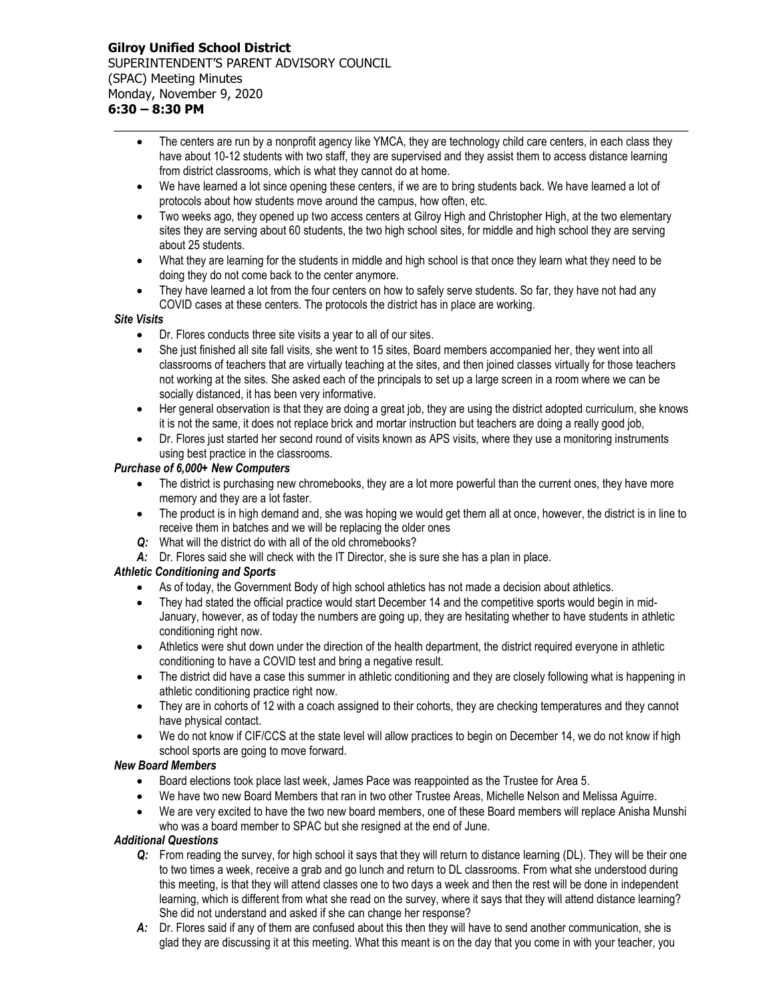• The centers are run by a nonprofit agency like YMCA, they are technology child care centers, in each class they have about 10-12 students with two staff, they are supervised and they assist them to access distance learning from district classrooms, which is what they cannot do at home.

**\_\_\_\_\_\_\_\_\_\_\_\_\_\_\_\_\_\_\_\_\_\_\_\_\_\_\_\_\_\_\_\_\_\_\_\_\_\_\_\_\_\_\_\_\_\_\_\_\_\_\_\_\_\_\_\_\_\_\_\_\_\_\_\_\_\_\_\_\_\_\_\_\_\_\_\_\_\_\_\_\_\_\_**

- We have learned a lot since opening these centers, if we are to bring students back. We have learned a lot of protocols about how students move around the campus, how often, etc.
- Two weeks ago, they opened up two access centers at Gilroy High and Christopher High, at the two elementary sites they are serving about 60 students, the two high school sites, for middle and high school they are serving about 25 students.
- What they are learning for the students in middle and high school is that once they learn what they need to be doing they do not come back to the center anymore.
- They have learned a lot from the four centers on how to safely serve students. So far, they have not had any COVID cases at these centers. The protocols the district has in place are working.

### *Site Visits*

- Dr. Flores conducts three site visits a year to all of our sites.
- She just finished all site fall visits, she went to 15 sites, Board members accompanied her, they went into all classrooms of teachers that are virtually teaching at the sites, and then joined classes virtually for those teachers not working at the sites. She asked each of the principals to set up a large screen in a room where we can be socially distanced, it has been very informative.
- Her general observation is that they are doing a great job, they are using the district adopted curriculum, she knows it is not the same, it does not replace brick and mortar instruction but teachers are doing a really good job,
- Dr. Flores just started her second round of visits known as APS visits, where they use a monitoring instruments using best practice in the classrooms.

### *Purchase of 6,000+ New Computers*

- The district is purchasing new chromebooks, they are a lot more powerful than the current ones, they have more memory and they are a lot faster.
- The product is in high demand and, she was hoping we would get them all at once, however, the district is in line to receive them in batches and we will be replacing the older ones
- *Q:* What will the district do with all of the old chromebooks?
- *A:* Dr. Flores said she will check with the IT Director, she is sure she has a plan in place.

# *Athletic Conditioning and Sports*

- As of today, the Government Body of high school athletics has not made a decision about athletics.
- They had stated the official practice would start December 14 and the competitive sports would begin in mid-January, however, as of today the numbers are going up, they are hesitating whether to have students in athletic conditioning right now.
- Athletics were shut down under the direction of the health department, the district required everyone in athletic conditioning to have a COVID test and bring a negative result.
- The district did have a case this summer in athletic conditioning and they are closely following what is happening in athletic conditioning practice right now.
- They are in cohorts of 12 with a coach assigned to their cohorts, they are checking temperatures and they cannot have physical contact.
- We do not know if CIF/CCS at the state level will allow practices to begin on December 14, we do not know if high school sports are going to move forward.

### *New Board Members*

- Board elections took place last week, James Pace was reappointed as the Trustee for Area 5.
- We have two new Board Members that ran in two other Trustee Areas, Michelle Nelson and Melissa Aguirre.
- We are very excited to have the two new board members, one of these Board members will replace Anisha Munshi who was a board member to SPAC but she resigned at the end of June.

### *Additional Questions*

- *Q:* From reading the survey, for high school it says that they will return to distance learning (DL). They will be their one to two times a week, receive a grab and go lunch and return to DL classrooms. From what she understood during this meeting, is that they will attend classes one to two days a week and then the rest will be done in independent learning, which is different from what she read on the survey, where it says that they will attend distance learning? She did not understand and asked if she can change her response?
- *A:* Dr. Flores said if any of them are confused about this then they will have to send another communication, she is glad they are discussing it at this meeting. What this meant is on the day that you come in with your teacher, you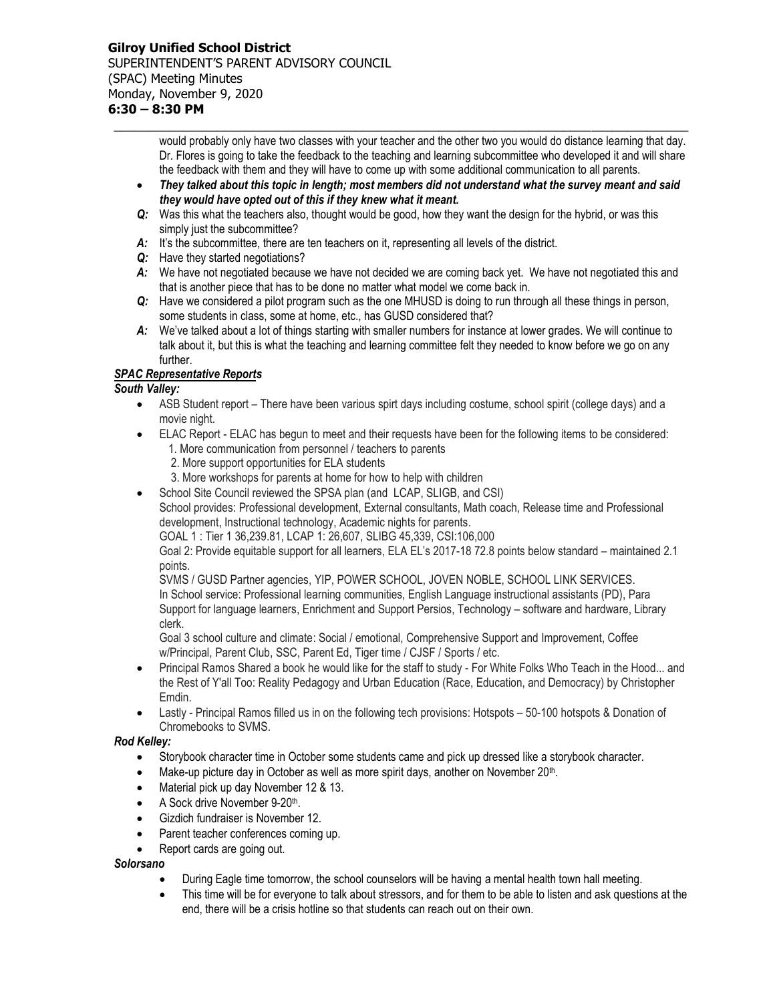# **Gilroy Unified School District** SUPERINTENDENT'S PARENT ADVISORY COUNCIL (SPAC) Meeting Minutes Monday, November 9, 2020

**6:30 – 8:30 PM \_\_\_\_\_\_\_\_\_\_\_\_\_\_\_\_\_\_\_\_\_\_\_\_\_\_\_\_\_\_\_\_\_\_\_\_\_\_\_\_\_\_\_\_\_\_\_\_\_\_\_\_\_\_\_\_\_\_\_\_\_\_\_\_\_\_\_\_\_\_\_\_\_\_\_\_\_\_\_\_\_\_\_**

would probably only have two classes with your teacher and the other two you would do distance learning that day. Dr. Flores is going to take the feedback to the teaching and learning subcommittee who developed it and will share the feedback with them and they will have to come up with some additional communication to all parents.

- *They talked about this topic in length; most members did not understand what the survey meant and said they would have opted out of this if they knew what it meant.*
- *Q:* Was this what the teachers also, thought would be good, how they want the design for the hybrid, or was this simply just the subcommittee?
- *A:* It's the subcommittee, there are ten teachers on it, representing all levels of the district.
- *Q:* Have they started negotiations?
- *A:* We have not negotiated because we have not decided we are coming back yet. We have not negotiated this and that is another piece that has to be done no matter what model we come back in.
- *Q:* Have we considered a pilot program such as the one MHUSD is doing to run through all these things in person, some students in class, some at home, etc., has GUSD considered that?
- *A:* We've talked about a lot of things starting with smaller numbers for instance at lower grades. We will continue to talk about it, but this is what the teaching and learning committee felt they needed to know before we go on any further.

# *SPAC Representative Reports*

### *South Valley:*

- ASB Student report There have been various spirt days including costume, school spirit (college days) and a movie night.
- ELAC Report ELAC has begun to meet and their requests have been for the following items to be considered:
	- 1. More communication from personnel / teachers to parents
		- 2. More support opportunities for ELA students
	- 3. More workshops for parents at home for how to help with children
- School Site Council reviewed the SPSA plan (and LCAP, SLIGB, and CSI)

School provides: Professional development, External consultants, Math coach, Release time and Professional development, Instructional technology, Academic nights for parents.

GOAL 1 : Tier 1 36,239.81, LCAP 1: 26,607, SLIBG 45,339, CSI:106,000

Goal 2: Provide equitable support for all learners, ELA EL's 2017-18 72.8 points below standard – maintained 2.1 points.

SVMS / GUSD Partner agencies, YIP, POWER SCHOOL, JOVEN NOBLE, SCHOOL LINK SERVICES. In School service: Professional learning communities, English Language instructional assistants (PD), Para Support for language learners, Enrichment and Support Persios, Technology – software and hardware, Library clerk.

Goal 3 school culture and climate: Social / emotional, Comprehensive Support and Improvement, Coffee w/Principal, Parent Club, SSC, Parent Ed, Tiger time / CJSF / Sports / etc.

- Principal Ramos Shared a book he would like for the staff to study For White Folks Who Teach in the Hood... and the Rest of Y'all Too: Reality Pedagogy and Urban Education (Race, Education, and Democracy) by Christopher Emdin.
- Lastly Principal Ramos filled us in on the following tech provisions: Hotspots 50-100 hotspots & Donation of Chromebooks to SVMS.

### *Rod Kelley:*

- Storybook character time in October some students came and pick up dressed like a storybook character.
- Make-up picture day in October as well as more spirit days, another on November  $20<sup>th</sup>$ .
- Material pick up day November 12 & 13.
- A Sock drive November 9-20th.
- Gizdich fundraiser is November 12.
- Parent teacher conferences coming up.
- Report cards are going out.

### *Solorsano*

- During Eagle time tomorrow, the school counselors will be having a mental health town hall meeting.
- This time will be for everyone to talk about stressors, and for them to be able to listen and ask questions at the end, there will be a crisis hotline so that students can reach out on their own.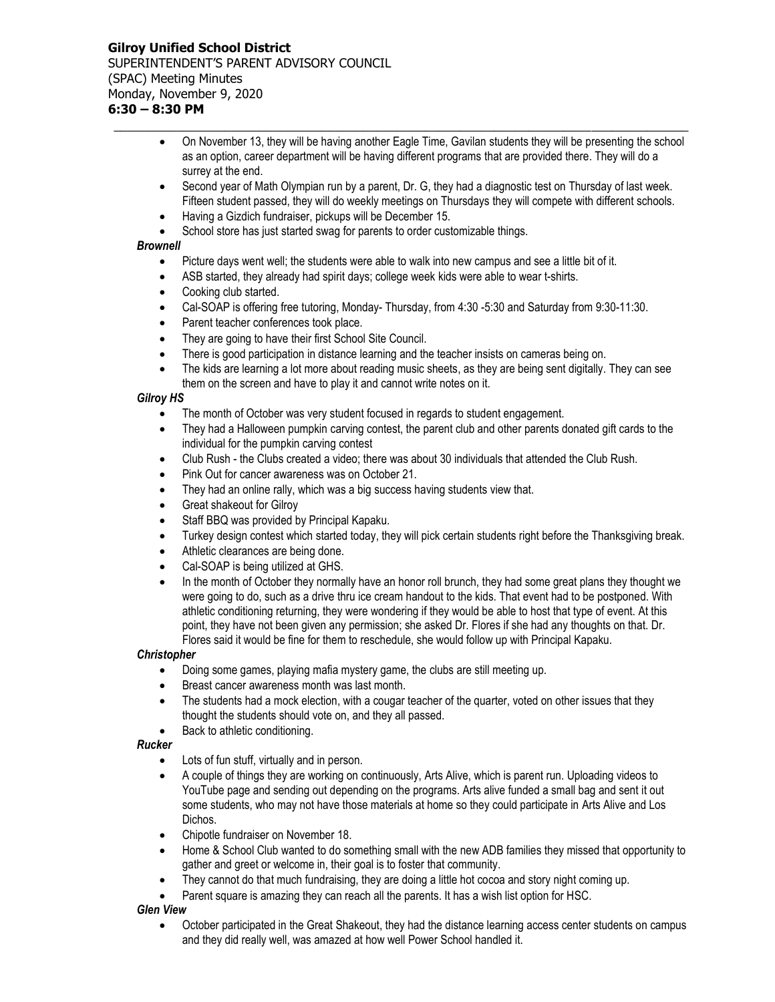On November 13, they will be having another Eagle Time, Gavilan students they will be presenting the school as an option, career department will be having different programs that are provided there. They will do a surrey at the end.

**\_\_\_\_\_\_\_\_\_\_\_\_\_\_\_\_\_\_\_\_\_\_\_\_\_\_\_\_\_\_\_\_\_\_\_\_\_\_\_\_\_\_\_\_\_\_\_\_\_\_\_\_\_\_\_\_\_\_\_\_\_\_\_\_\_\_\_\_\_\_\_\_\_\_\_\_\_\_\_\_\_\_\_**

- Second year of Math Olympian run by a parent, Dr. G, they had a diagnostic test on Thursday of last week. Fifteen student passed, they will do weekly meetings on Thursdays they will compete with different schools.
- Having a Gizdich fundraiser, pickups will be December 15.
- School store has just started swag for parents to order customizable things.

### *Brownell*

- Picture days went well; the students were able to walk into new campus and see a little bit of it.
- ASB started, they already had spirit days; college week kids were able to wear t-shirts.
- Cooking club started.
- Cal-SOAP is offering free tutoring, Monday- Thursday, from 4:30 -5:30 and Saturday from 9:30-11:30.
- Parent teacher conferences took place.
- They are going to have their first School Site Council.
- There is good participation in distance learning and the teacher insists on cameras being on.
- The kids are learning a lot more about reading music sheets, as they are being sent digitally. They can see them on the screen and have to play it and cannot write notes on it.

### *Gilroy HS*

- The month of October was very student focused in regards to student engagement.
- They had a Halloween pumpkin carving contest, the parent club and other parents donated gift cards to the individual for the pumpkin carving contest
- Club Rush the Clubs created a video; there was about 30 individuals that attended the Club Rush.
- Pink Out for cancer awareness was on October 21.
- They had an online rally, which was a big success having students view that.
- Great shakeout for Gilroy
- Staff BBQ was provided by Principal Kapaku.
- Turkey design contest which started today, they will pick certain students right before the Thanksgiving break.
- Athletic clearances are being done.
- Cal-SOAP is being utilized at GHS.
- In the month of October they normally have an honor roll brunch, they had some great plans they thought we were going to do, such as a drive thru ice cream handout to the kids. That event had to be postponed. With athletic conditioning returning, they were wondering if they would be able to host that type of event. At this point, they have not been given any permission; she asked Dr. Flores if she had any thoughts on that. Dr. Flores said it would be fine for them to reschedule, she would follow up with Principal Kapaku.

### *Christopher*

- Doing some games, playing mafia mystery game, the clubs are still meeting up.
- Breast cancer awareness month was last month.
- The students had a mock election, with a cougar teacher of the quarter, voted on other issues that they thought the students should vote on, and they all passed.
- Back to athletic conditioning.

### *Rucker*

- Lots of fun stuff, virtually and in person.
- A couple of things they are working on continuously, Arts Alive, which is parent run. Uploading videos to YouTube page and sending out depending on the programs. Arts alive funded a small bag and sent it out some students, who may not have those materials at home so they could participate in Arts Alive and Los Dichos.
- Chipotle fundraiser on November 18.
- Home & School Club wanted to do something small with the new ADB families they missed that opportunity to gather and greet or welcome in, their goal is to foster that community.
- They cannot do that much fundraising, they are doing a little hot cocoa and story night coming up.
- Parent square is amazing they can reach all the parents. It has a wish list option for HSC.

### *Glen View*

 October participated in the Great Shakeout, they had the distance learning access center students on campus and they did really well, was amazed at how well Power School handled it.